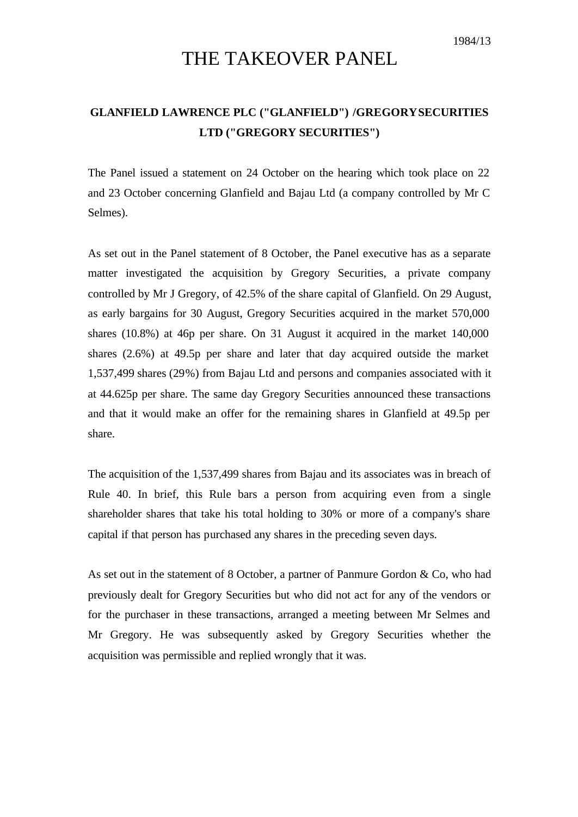## THE TAKEOVER PANEL

## **GLANFIELD LAWRENCE PLC ("GLANFIELD") /GREGORY SECURITIES LTD ("GREGORY SECURITIES")**

The Panel issued a statement on 24 October on the hearing which took place on 22 and 23 October concerning Glanfield and Bajau Ltd (a company controlled by Mr C Selmes).

As set out in the Panel statement of 8 October, the Panel executive has as a separate matter investigated the acquisition by Gregory Securities, a private company controlled by Mr J Gregory, of 42.5% of the share capital of Glanfield. On 29 August, as early bargains for 30 August, Gregory Securities acquired in the market 570,000 shares (10.8%) at 46p per share. On 31 August it acquired in the market 140,000 shares (2.6%) at 49.5p per share and later that day acquired outside the market 1,537,499 shares (29%) from Bajau Ltd and persons and companies associated with it at 44.625p per share. The same day Gregory Securities announced these transactions and that it would make an offer for the remaining shares in Glanfield at 49.5p per share.

The acquisition of the 1,537,499 shares from Bajau and its associates was in breach of Rule 40. In brief, this Rule bars a person from acquiring even from a single shareholder shares that take his total holding to 30% or more of a company's share capital if that person has purchased any shares in the preceding seven days.

As set out in the statement of 8 October, a partner of Panmure Gordon & Co, who had previously dealt for Gregory Securities but who did not act for any of the vendors or for the purchaser in these transactions, arranged a meeting between Mr Selmes and Mr Gregory. He was subsequently asked by Gregory Securities whether the acquisition was permissible and replied wrongly that it was.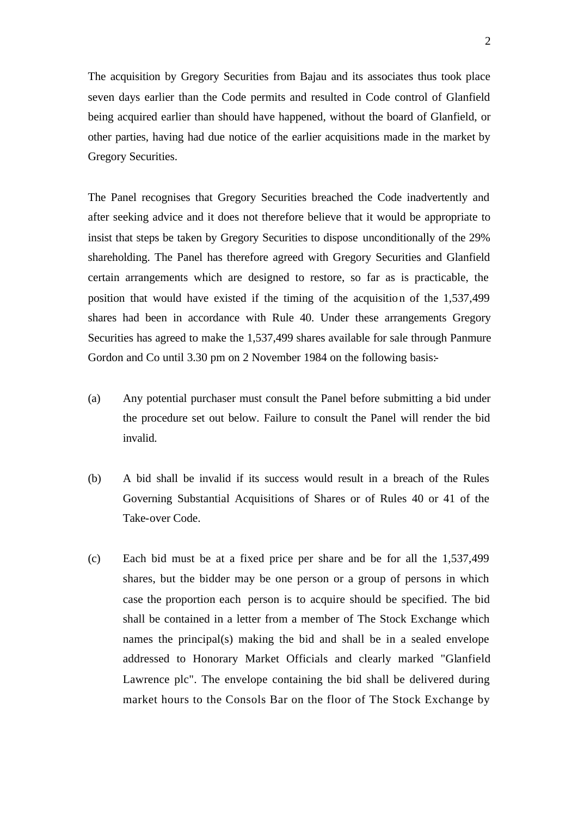The acquisition by Gregory Securities from Bajau and its associates thus took place seven days earlier than the Code permits and resulted in Code control of Glanfield being acquired earlier than should have happened, without the board of Glanfield, or other parties, having had due notice of the earlier acquisitions made in the market by Gregory Securities.

The Panel recognises that Gregory Securities breached the Code inadvertently and after seeking advice and it does not therefore believe that it would be appropriate to insist that steps be taken by Gregory Securities to dispose unconditionally of the 29% shareholding. The Panel has therefore agreed with Gregory Securities and Glanfield certain arrangements which are designed to restore, so far as is practicable, the position that would have existed if the timing of the acquisition of the 1,537,499 shares had been in accordance with Rule 40. Under these arrangements Gregory Securities has agreed to make the 1,537,499 shares available for sale through Panmure Gordon and Co until 3.30 pm on 2 November 1984 on the following basis:-

- (a) Any potential purchaser must consult the Panel before submitting a bid under the procedure set out below. Failure to consult the Panel will render the bid invalid.
- (b) A bid shall be invalid if its success would result in a breach of the Rules Governing Substantial Acquisitions of Shares or of Rules 40 or 41 of the Take-over Code.
- (c) Each bid must be at a fixed price per share and be for all the 1,537,499 shares, but the bidder may be one person or a group of persons in which case the proportion each person is to acquire should be specified. The bid shall be contained in a letter from a member of The Stock Exchange which names the principal(s) making the bid and shall be in a sealed envelope addressed to Honorary Market Officials and clearly marked "Glanfield Lawrence plc". The envelope containing the bid shall be delivered during market hours to the Consols Bar on the floor of The Stock Exchange by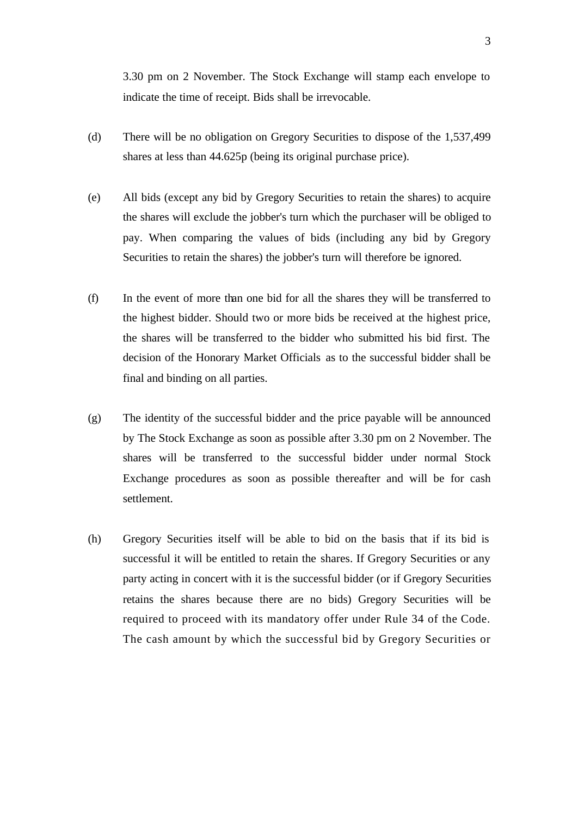3.30 pm on 2 November. The Stock Exchange will stamp each envelope to indicate the time of receipt. Bids shall be irrevocable.

- (d) There will be no obligation on Gregory Securities to dispose of the 1,537,499 shares at less than 44.625p (being its original purchase price).
- (e) All bids (except any bid by Gregory Securities to retain the shares) to acquire the shares will exclude the jobber's turn which the purchaser will be obliged to pay. When comparing the values of bids (including any bid by Gregory Securities to retain the shares) the jobber's turn will therefore be ignored.
- (f) In the event of more than one bid for all the shares they will be transferred to the highest bidder. Should two or more bids be received at the highest price, the shares will be transferred to the bidder who submitted his bid first. The decision of the Honorary Market Officials as to the successful bidder shall be final and binding on all parties.
- (g) The identity of the successful bidder and the price payable will be announced by The Stock Exchange as soon as possible after 3.30 pm on 2 November. The shares will be transferred to the successful bidder under normal Stock Exchange procedures as soon as possible thereafter and will be for cash settlement.
- (h) Gregory Securities itself will be able to bid on the basis that if its bid is successful it will be entitled to retain the shares. If Gregory Securities or any party acting in concert with it is the successful bidder (or if Gregory Securities retains the shares because there are no bids) Gregory Securities will be required to proceed with its mandatory offer under Rule 34 of the Code. The cash amount by which the successful bid by Gregory Securities or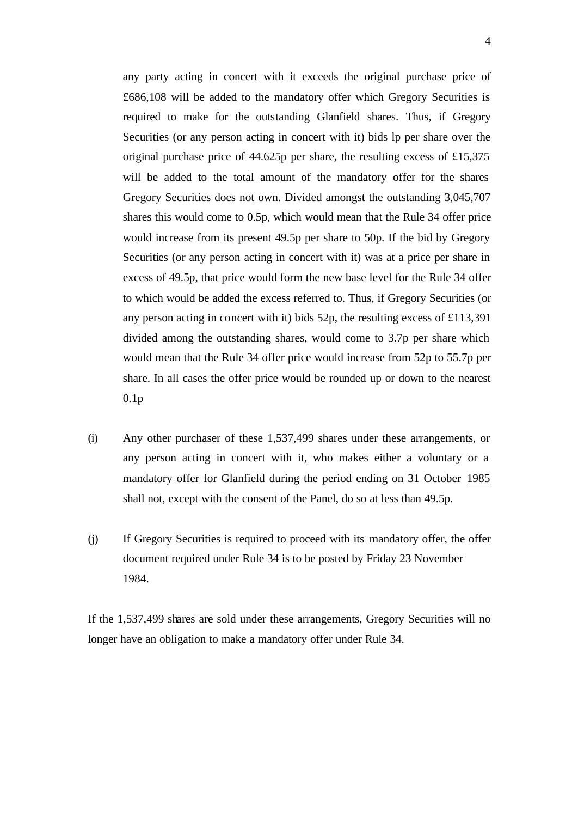any party acting in concert with it exceeds the original purchase price of £686,108 will be added to the mandatory offer which Gregory Securities is required to make for the outstanding Glanfield shares. Thus, if Gregory Securities (or any person acting in concert with it) bids lp per share over the original purchase price of 44.625p per share, the resulting excess of £15,375 will be added to the total amount of the mandatory offer for the shares Gregory Securities does not own. Divided amongst the outstanding 3,045,707 shares this would come to 0.5p, which would mean that the Rule 34 offer price would increase from its present 49.5p per share to 50p. If the bid by Gregory Securities (or any person acting in concert with it) was at a price per share in excess of 49.5p, that price would form the new base level for the Rule 34 offer to which would be added the excess referred to. Thus, if Gregory Securities (or any person acting in concert with it) bids 52p, the resulting excess of £113,391 divided among the outstanding shares, would come to 3.7p per share which would mean that the Rule 34 offer price would increase from 52p to 55.7p per share. In all cases the offer price would be rounded up or down to the nearest 0.1p

- (i) Any other purchaser of these 1,537,499 shares under these arrangements, or any person acting in concert with it, who makes either a voluntary or a mandatory offer for Glanfield during the period ending on 31 October 1985 shall not, except with the consent of the Panel, do so at less than 49.5p.
- (j) If Gregory Securities is required to proceed with its mandatory offer, the offer document required under Rule 34 is to be posted by Friday 23 November 1984.

If the 1,537,499 shares are sold under these arrangements, Gregory Securities will no longer have an obligation to make a mandatory offer under Rule 34.